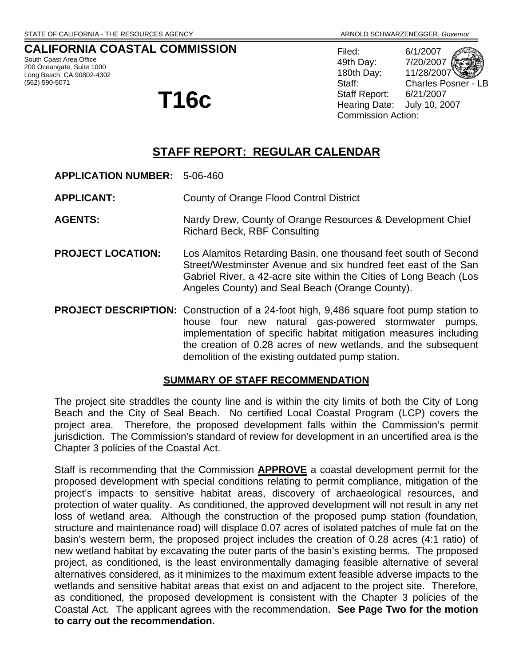## **CALIFORNIA COASTAL COMMISSION**

South Coast Area Office 200 Oceangate, Suite 1000 Long Beach, CA 90802-4302 (562) 590-5071

# **T16c**

Filed: 6/1/2007 49th Day: 7/20/2007 180th Day: 11/28/2007 Staff: Charles Posner - LB Staff Report: 6/21/2007 Hearing Date: July 10, 2007 Commission Action:

## **STAFF REPORT: REGULAR CALENDAR**

**APPLICATION NUMBER:** 5-06-460

**APPLICANT:** County of Orange Flood Control District

- AGENTS: Nardy Drew, County of Orange Resources & Development Chief Richard Beck, RBF Consulting
- **PROJECT LOCATION:** Los Alamitos Retarding Basin, one thousand feet south of Second Street/Westminster Avenue and six hundred feet east of the San Gabriel River, a 42-acre site within the Cities of Long Beach (Los Angeles County) and Seal Beach (Orange County).
- **PROJECT DESCRIPTION:** Construction of a 24-foot high, 9,486 square foot pump station to house four new natural gas-powered stormwater pumps, implementation of specific habitat mitigation measures including the creation of 0.28 acres of new wetlands, and the subsequent demolition of the existing outdated pump station.

#### **SUMMARY OF STAFF RECOMMENDATION**

The project site straddles the county line and is within the city limits of both the City of Long Beach and the City of Seal Beach. No certified Local Coastal Program (LCP) covers the project area. Therefore, the proposed development falls within the Commission's permit jurisdiction. The Commission's standard of review for development in an uncertified area is the Chapter 3 policies of the Coastal Act.

Staff is recommending that the Commission **APPROVE** a coastal development permit for the proposed development with special conditions relating to permit compliance, mitigation of the project's impacts to sensitive habitat areas, discovery of archaeological resources, and protection of water quality. As conditioned, the approved development will not result in any net loss of wetland area. Although the construction of the proposed pump station (foundation, structure and maintenance road) will displace 0.07 acres of isolated patches of mule fat on the basin's western berm, the proposed project includes the creation of 0.28 acres (4:1 ratio) of new wetland habitat by excavating the outer parts of the basin's existing berms. The proposed project, as conditioned, is the least environmentally damaging feasible alternative of several alternatives considered, as it minimizes to the maximum extent feasible adverse impacts to the wetlands and sensitive habitat areas that exist on and adjacent to the project site. Therefore, as conditioned, the proposed development is consistent with the Chapter 3 policies of the Coastal Act. The applicant agrees with the recommendation. **See Page Two for the motion to carry out the recommendation.**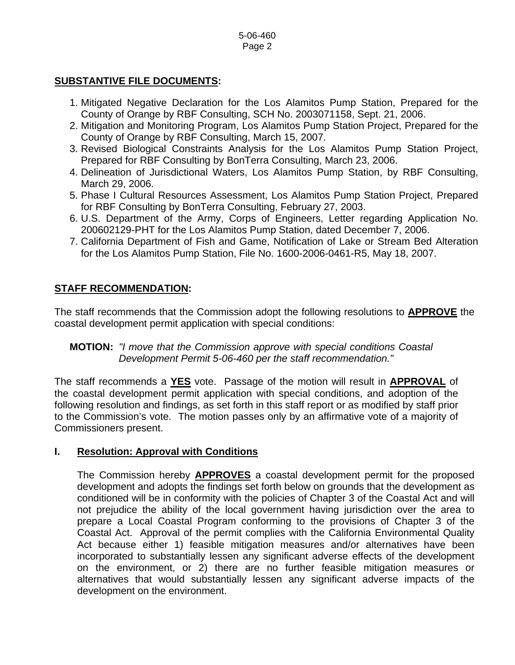## **SUBSTANTIVE FILE DOCUMENTS:**

- 1. Mitigated Negative Declaration for the Los Alamitos Pump Station, Prepared for the County of Orange by RBF Consulting, SCH No. 2003071158, Sept. 21, 2006.
- 2. Mitigation and Monitoring Program, Los Alamitos Pump Station Project, Prepared for the County of Orange by RBF Consulting, March 15, 2007.
- 3. Revised Biological Constraints Analysis for the Los Alamitos Pump Station Project, Prepared for RBF Consulting by BonTerra Consulting, March 23, 2006.
- 4. Delineation of Jurisdictional Waters, Los Alamitos Pump Station, by RBF Consulting, March 29, 2006.
- 5. Phase I Cultural Resources Assessment, Los Alamitos Pump Station Project, Prepared for RBF Consulting by BonTerra Consulting, February 27, 2003.
- 6. U.S. Department of the Army, Corps of Engineers, Letter regarding Application No. 200602129-PHT for the Los Alamitos Pump Station, dated December 7, 2006.
- 7. California Department of Fish and Game, Notification of Lake or Stream Bed Alteration for the Los Alamitos Pump Station, File No. 1600-2006-0461-R5, May 18, 2007.

## **STAFF RECOMMENDATION:**

The staff recommends that the Commission adopt the following resolutions to **APPROVE** the coastal development permit application with special conditions:

## **MOTION:** *"I move that the Commission approve with special conditions Coastal Development Permit 5-06-460 per the staff recommendation."*

The staff recommends a **YES** vote. Passage of the motion will result in **APPROVAL** of the coastal development permit application with special conditions, and adoption of the following resolution and findings, as set forth in this staff report or as modified by staff prior to the Commission's vote. The motion passes only by an affirmative vote of a majority of Commissioners present.

#### **I. Resolution: Approval with Conditions**

 The Commission hereby **APPROVES** a coastal development permit for the proposed development and adopts the findings set forth below on grounds that the development as conditioned will be in conformity with the policies of Chapter 3 of the Coastal Act and will not prejudice the ability of the local government having jurisdiction over the area to prepare a Local Coastal Program conforming to the provisions of Chapter 3 of the Coastal Act. Approval of the permit complies with the California Environmental Quality Act because either 1) feasible mitigation measures and/or alternatives have been incorporated to substantially lessen any significant adverse effects of the development on the environment, or 2) there are no further feasible mitigation measures or alternatives that would substantially lessen any significant adverse impacts of the development on the environment.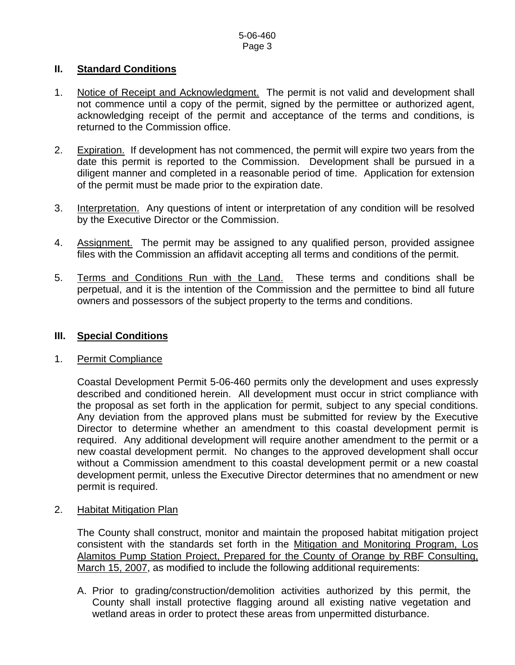#### **II. Standard Conditions**

- 1. Notice of Receipt and Acknowledgment. The permit is not valid and development shall not commence until a copy of the permit, signed by the permittee or authorized agent, acknowledging receipt of the permit and acceptance of the terms and conditions, is returned to the Commission office.
- 2. Expiration. If development has not commenced, the permit will expire two years from the date this permit is reported to the Commission. Development shall be pursued in a diligent manner and completed in a reasonable period of time. Application for extension of the permit must be made prior to the expiration date.
- 3. Interpretation. Any questions of intent or interpretation of any condition will be resolved by the Executive Director or the Commission.
- 4. Assignment. The permit may be assigned to any qualified person, provided assignee files with the Commission an affidavit accepting all terms and conditions of the permit.
- 5. Terms and Conditions Run with the Land. These terms and conditions shall be perpetual, and it is the intention of the Commission and the permittee to bind all future owners and possessors of the subject property to the terms and conditions.

#### **III. Special Conditions**

#### 1. Permit Compliance

Coastal Development Permit 5-06-460 permits only the development and uses expressly described and conditioned herein. All development must occur in strict compliance with the proposal as set forth in the application for permit, subject to any special conditions. Any deviation from the approved plans must be submitted for review by the Executive Director to determine whether an amendment to this coastal development permit is required. Any additional development will require another amendment to the permit or a new coastal development permit. No changes to the approved development shall occur without a Commission amendment to this coastal development permit or a new coastal development permit, unless the Executive Director determines that no amendment or new permit is required.

2. Habitat Mitigation Plan

The County shall construct, monitor and maintain the proposed habitat mitigation project consistent with the standards set forth in the Mitigation and Monitoring Program, Los Alamitos Pump Station Project, Prepared for the County of Orange by RBF Consulting, March 15, 2007, as modified to include the following additional requirements:

A. Prior to grading/construction/demolition activities authorized by this permit, the County shall install protective flagging around all existing native vegetation and wetland areas in order to protect these areas from unpermitted disturbance.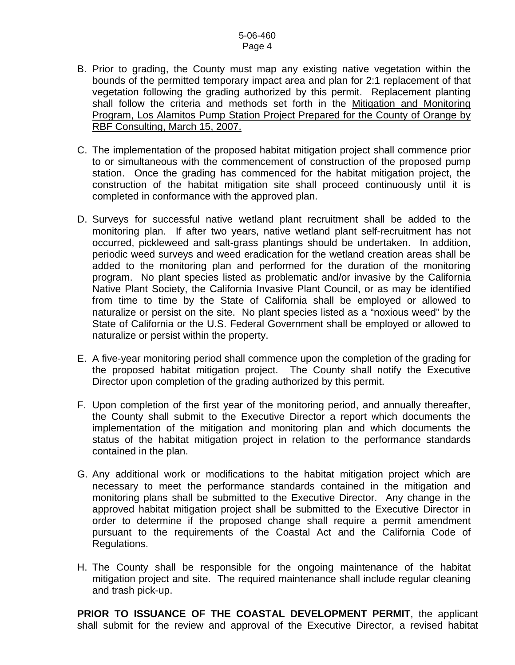#### 5-06-460 Page 4

- B. Prior to grading, the County must map any existing native vegetation within the bounds of the permitted temporary impact area and plan for 2:1 replacement of that vegetation following the grading authorized by this permit. Replacement planting shall follow the criteria and methods set forth in the Mitigation and Monitoring Program, Los Alamitos Pump Station Project Prepared for the County of Orange by RBF Consulting, March 15, 2007.
- C. The implementation of the proposed habitat mitigation project shall commence prior to or simultaneous with the commencement of construction of the proposed pump station. Once the grading has commenced for the habitat mitigation project, the construction of the habitat mitigation site shall proceed continuously until it is completed in conformance with the approved plan.
- D. Surveys for successful native wetland plant recruitment shall be added to the monitoring plan. If after two years, native wetland plant self-recruitment has not occurred, pickleweed and salt-grass plantings should be undertaken. In addition, periodic weed surveys and weed eradication for the wetland creation areas shall be added to the monitoring plan and performed for the duration of the monitoring program. No plant species listed as problematic and/or invasive by the California Native Plant Society, the California Invasive Plant Council, or as may be identified from time to time by the State of California shall be employed or allowed to naturalize or persist on the site. No plant species listed as a "noxious weed" by the State of California or the U.S. Federal Government shall be employed or allowed to naturalize or persist within the property.
- E. A five-year monitoring period shall commence upon the completion of the grading for the proposed habitat mitigation project. The County shall notify the Executive Director upon completion of the grading authorized by this permit.
- F. Upon completion of the first year of the monitoring period, and annually thereafter, the County shall submit to the Executive Director a report which documents the implementation of the mitigation and monitoring plan and which documents the status of the habitat mitigation project in relation to the performance standards contained in the plan.
- G. Any additional work or modifications to the habitat mitigation project which are necessary to meet the performance standards contained in the mitigation and monitoring plans shall be submitted to the Executive Director. Any change in the approved habitat mitigation project shall be submitted to the Executive Director in order to determine if the proposed change shall require a permit amendment pursuant to the requirements of the Coastal Act and the California Code of Regulations.
- H. The County shall be responsible for the ongoing maintenance of the habitat mitigation project and site. The required maintenance shall include regular cleaning and trash pick-up.

 **PRIOR TO ISSUANCE OF THE COASTAL DEVELOPMENT PERMIT**, the applicant shall submit for the review and approval of the Executive Director, a revised habitat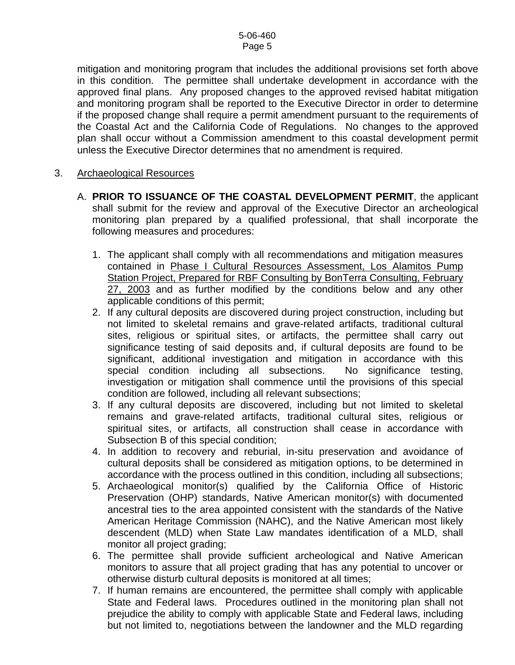mitigation and monitoring program that includes the additional provisions set forth above in this condition. The permittee shall undertake development in accordance with the approved final plans. Any proposed changes to the approved revised habitat mitigation and monitoring program shall be reported to the Executive Director in order to determine if the proposed change shall require a permit amendment pursuant to the requirements of the Coastal Act and the California Code of Regulations. No changes to the approved plan shall occur without a Commission amendment to this coastal development permit unless the Executive Director determines that no amendment is required.

#### 3. Archaeological Resources

- A. **PRIOR TO ISSUANCE OF THE COASTAL DEVELOPMENT PERMIT**, the applicant shall submit for the review and approval of the Executive Director an archeological monitoring plan prepared by a qualified professional, that shall incorporate the following measures and procedures:
	- 1. The applicant shall comply with all recommendations and mitigation measures contained in Phase I Cultural Resources Assessment, Los Alamitos Pump Station Project, Prepared for RBF Consulting by BonTerra Consulting, February 27, 2003 and as further modified by the conditions below and any other applicable conditions of this permit;
	- 2. If any cultural deposits are discovered during project construction, including but not limited to skeletal remains and grave-related artifacts, traditional cultural sites, religious or spiritual sites, or artifacts, the permittee shall carry out significance testing of said deposits and, if cultural deposits are found to be significant, additional investigation and mitigation in accordance with this special condition including all subsections. No significance testing, investigation or mitigation shall commence until the provisions of this special condition are followed, including all relevant subsections;
	- 3. If any cultural deposits are discovered, including but not limited to skeletal remains and grave-related artifacts, traditional cultural sites, religious or spiritual sites, or artifacts, all construction shall cease in accordance with Subsection B of this special condition;
	- 4. In addition to recovery and reburial, in-situ preservation and avoidance of cultural deposits shall be considered as mitigation options, to be determined in accordance with the process outlined in this condition, including all subsections;
	- 5. Archaeological monitor(s) qualified by the California Office of Historic Preservation (OHP) standards, Native American monitor(s) with documented ancestral ties to the area appointed consistent with the standards of the Native American Heritage Commission (NAHC), and the Native American most likely descendent (MLD) when State Law mandates identification of a MLD, shall monitor all project grading;
	- 6. The permittee shall provide sufficient archeological and Native American monitors to assure that all project grading that has any potential to uncover or otherwise disturb cultural deposits is monitored at all times;
	- 7. If human remains are encountered, the permittee shall comply with applicable State and Federal laws. Procedures outlined in the monitoring plan shall not prejudice the ability to comply with applicable State and Federal laws, including but not limited to, negotiations between the landowner and the MLD regarding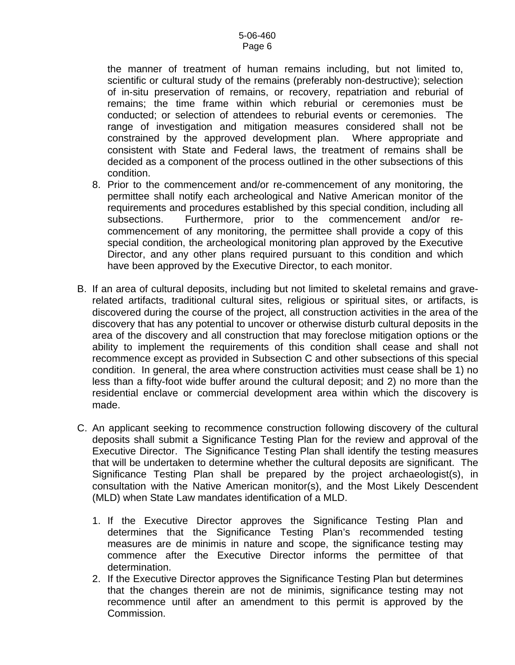the manner of treatment of human remains including, but not limited to, scientific or cultural study of the remains (preferably non-destructive); selection of in-situ preservation of remains, or recovery, repatriation and reburial of remains; the time frame within which reburial or ceremonies must be conducted; or selection of attendees to reburial events or ceremonies. The range of investigation and mitigation measures considered shall not be constrained by the approved development plan. Where appropriate and consistent with State and Federal laws, the treatment of remains shall be decided as a component of the process outlined in the other subsections of this condition.

- 8. Prior to the commencement and/or re-commencement of any monitoring, the permittee shall notify each archeological and Native American monitor of the requirements and procedures established by this special condition, including all subsections. Furthermore, prior to the commencement and/or recommencement of any monitoring, the permittee shall provide a copy of this special condition, the archeological monitoring plan approved by the Executive Director, and any other plans required pursuant to this condition and which have been approved by the Executive Director, to each monitor.
- B. If an area of cultural deposits, including but not limited to skeletal remains and graverelated artifacts, traditional cultural sites, religious or spiritual sites, or artifacts, is discovered during the course of the project, all construction activities in the area of the discovery that has any potential to uncover or otherwise disturb cultural deposits in the area of the discovery and all construction that may foreclose mitigation options or the ability to implement the requirements of this condition shall cease and shall not recommence except as provided in Subsection C and other subsections of this special condition. In general, the area where construction activities must cease shall be 1) no less than a fifty-foot wide buffer around the cultural deposit; and 2) no more than the residential enclave or commercial development area within which the discovery is made.
- C. An applicant seeking to recommence construction following discovery of the cultural deposits shall submit a Significance Testing Plan for the review and approval of the Executive Director. The Significance Testing Plan shall identify the testing measures that will be undertaken to determine whether the cultural deposits are significant. The Significance Testing Plan shall be prepared by the project archaeologist(s), in consultation with the Native American monitor(s), and the Most Likely Descendent (MLD) when State Law mandates identification of a MLD.
	- 1. If the Executive Director approves the Significance Testing Plan and determines that the Significance Testing Plan's recommended testing measures are de minimis in nature and scope, the significance testing may commence after the Executive Director informs the permittee of that determination.
	- 2. If the Executive Director approves the Significance Testing Plan but determines that the changes therein are not de minimis, significance testing may not recommence until after an amendment to this permit is approved by the Commission.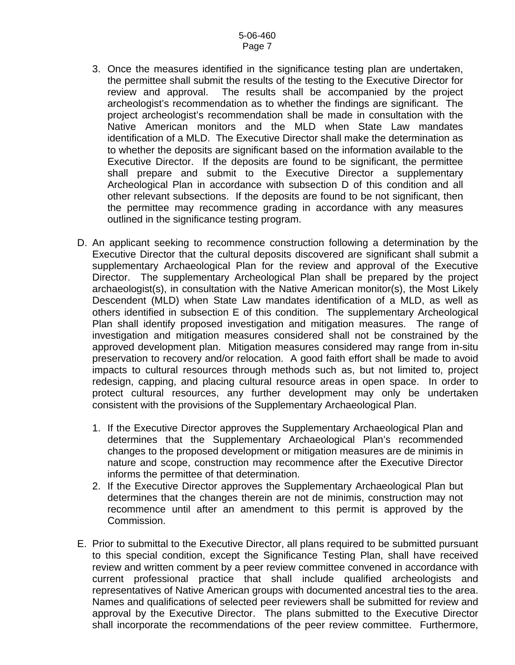- 3. Once the measures identified in the significance testing plan are undertaken, the permittee shall submit the results of the testing to the Executive Director for review and approval. The results shall be accompanied by the project archeologist's recommendation as to whether the findings are significant. The project archeologist's recommendation shall be made in consultation with the Native American monitors and the MLD when State Law mandates identification of a MLD. The Executive Director shall make the determination as to whether the deposits are significant based on the information available to the Executive Director. If the deposits are found to be significant, the permittee shall prepare and submit to the Executive Director a supplementary Archeological Plan in accordance with subsection D of this condition and all other relevant subsections. If the deposits are found to be not significant, then the permittee may recommence grading in accordance with any measures outlined in the significance testing program.
- D. An applicant seeking to recommence construction following a determination by the Executive Director that the cultural deposits discovered are significant shall submit a supplementary Archaeological Plan for the review and approval of the Executive Director. The supplementary Archeological Plan shall be prepared by the project archaeologist(s), in consultation with the Native American monitor(s), the Most Likely Descendent (MLD) when State Law mandates identification of a MLD, as well as others identified in subsection E of this condition. The supplementary Archeological Plan shall identify proposed investigation and mitigation measures. The range of investigation and mitigation measures considered shall not be constrained by the approved development plan. Mitigation measures considered may range from in-situ preservation to recovery and/or relocation. A good faith effort shall be made to avoid impacts to cultural resources through methods such as, but not limited to, project redesign, capping, and placing cultural resource areas in open space. In order to protect cultural resources, any further development may only be undertaken consistent with the provisions of the Supplementary Archaeological Plan.
	- 1. If the Executive Director approves the Supplementary Archaeological Plan and determines that the Supplementary Archaeological Plan's recommended changes to the proposed development or mitigation measures are de minimis in nature and scope, construction may recommence after the Executive Director informs the permittee of that determination.
	- 2. If the Executive Director approves the Supplementary Archaeological Plan but determines that the changes therein are not de minimis, construction may not recommence until after an amendment to this permit is approved by the Commission.
- E. Prior to submittal to the Executive Director, all plans required to be submitted pursuant to this special condition, except the Significance Testing Plan, shall have received review and written comment by a peer review committee convened in accordance with current professional practice that shall include qualified archeologists and representatives of Native American groups with documented ancestral ties to the area. Names and qualifications of selected peer reviewers shall be submitted for review and approval by the Executive Director. The plans submitted to the Executive Director shall incorporate the recommendations of the peer review committee. Furthermore,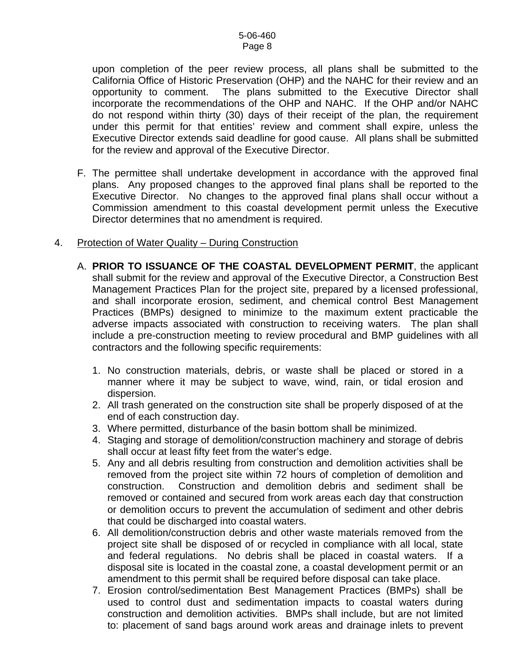upon completion of the peer review process, all plans shall be submitted to the California Office of Historic Preservation (OHP) and the NAHC for their review and an opportunity to comment. The plans submitted to the Executive Director shall incorporate the recommendations of the OHP and NAHC. If the OHP and/or NAHC do not respond within thirty (30) days of their receipt of the plan, the requirement under this permit for that entities' review and comment shall expire, unless the Executive Director extends said deadline for good cause. All plans shall be submitted for the review and approval of the Executive Director.

F. The permittee shall undertake development in accordance with the approved final plans. Any proposed changes to the approved final plans shall be reported to the Executive Director. No changes to the approved final plans shall occur without a Commission amendment to this coastal development permit unless the Executive Director determines that no amendment is required.

#### 4. Protection of Water Quality - During Construction

- A. **PRIOR TO ISSUANCE OF THE COASTAL DEVELOPMENT PERMIT**, the applicant shall submit for the review and approval of the Executive Director, a Construction Best Management Practices Plan for the project site, prepared by a licensed professional, and shall incorporate erosion, sediment, and chemical control Best Management Practices (BMPs) designed to minimize to the maximum extent practicable the adverse impacts associated with construction to receiving waters. The plan shall include a pre-construction meeting to review procedural and BMP guidelines with all contractors and the following specific requirements:
	- 1. No construction materials, debris, or waste shall be placed or stored in a manner where it may be subject to wave, wind, rain, or tidal erosion and dispersion.
	- 2. All trash generated on the construction site shall be properly disposed of at the end of each construction day.
	- 3. Where permitted, disturbance of the basin bottom shall be minimized.
	- 4. Staging and storage of demolition/construction machinery and storage of debris shall occur at least fifty feet from the water's edge.
	- 5. Any and all debris resulting from construction and demolition activities shall be removed from the project site within 72 hours of completion of demolition and construction. Construction and demolition debris and sediment shall be removed or contained and secured from work areas each day that construction or demolition occurs to prevent the accumulation of sediment and other debris that could be discharged into coastal waters.
	- 6. All demolition/construction debris and other waste materials removed from the project site shall be disposed of or recycled in compliance with all local, state and federal regulations. No debris shall be placed in coastal waters. If a disposal site is located in the coastal zone, a coastal development permit or an amendment to this permit shall be required before disposal can take place.
	- 7. Erosion control/sedimentation Best Management Practices (BMPs) shall be used to control dust and sedimentation impacts to coastal waters during construction and demolition activities. BMPs shall include, but are not limited to: placement of sand bags around work areas and drainage inlets to prevent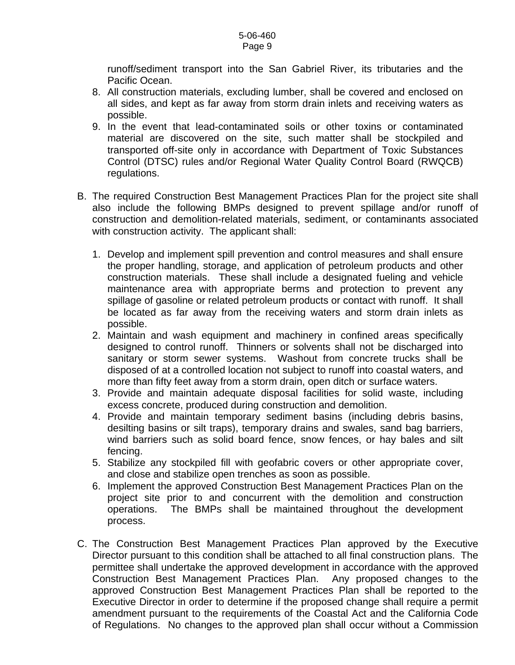runoff/sediment transport into the San Gabriel River, its tributaries and the Pacific Ocean.

- 8. All construction materials, excluding lumber, shall be covered and enclosed on all sides, and kept as far away from storm drain inlets and receiving waters as possible.
- 9. In the event that lead-contaminated soils or other toxins or contaminated material are discovered on the site, such matter shall be stockpiled and transported off-site only in accordance with Department of Toxic Substances Control (DTSC) rules and/or Regional Water Quality Control Board (RWQCB) regulations.
- B. The required Construction Best Management Practices Plan for the project site shall also include the following BMPs designed to prevent spillage and/or runoff of construction and demolition-related materials, sediment, or contaminants associated with construction activity. The applicant shall:
	- 1. Develop and implement spill prevention and control measures and shall ensure the proper handling, storage, and application of petroleum products and other construction materials. These shall include a designated fueling and vehicle maintenance area with appropriate berms and protection to prevent any spillage of gasoline or related petroleum products or contact with runoff. It shall be located as far away from the receiving waters and storm drain inlets as possible.
	- 2. Maintain and wash equipment and machinery in confined areas specifically designed to control runoff. Thinners or solvents shall not be discharged into sanitary or storm sewer systems. Washout from concrete trucks shall be disposed of at a controlled location not subject to runoff into coastal waters, and more than fifty feet away from a storm drain, open ditch or surface waters.
	- 3. Provide and maintain adequate disposal facilities for solid waste, including excess concrete, produced during construction and demolition.
	- 4. Provide and maintain temporary sediment basins (including debris basins, desilting basins or silt traps), temporary drains and swales, sand bag barriers, wind barriers such as solid board fence, snow fences, or hay bales and silt fencing.
	- 5. Stabilize any stockpiled fill with geofabric covers or other appropriate cover, and close and stabilize open trenches as soon as possible.
	- 6. Implement the approved Construction Best Management Practices Plan on the project site prior to and concurrent with the demolition and construction operations. The BMPs shall be maintained throughout the development process.
- C. The Construction Best Management Practices Plan approved by the Executive Director pursuant to this condition shall be attached to all final construction plans. The permittee shall undertake the approved development in accordance with the approved Construction Best Management Practices Plan. Any proposed changes to the approved Construction Best Management Practices Plan shall be reported to the Executive Director in order to determine if the proposed change shall require a permit amendment pursuant to the requirements of the Coastal Act and the California Code of Regulations. No changes to the approved plan shall occur without a Commission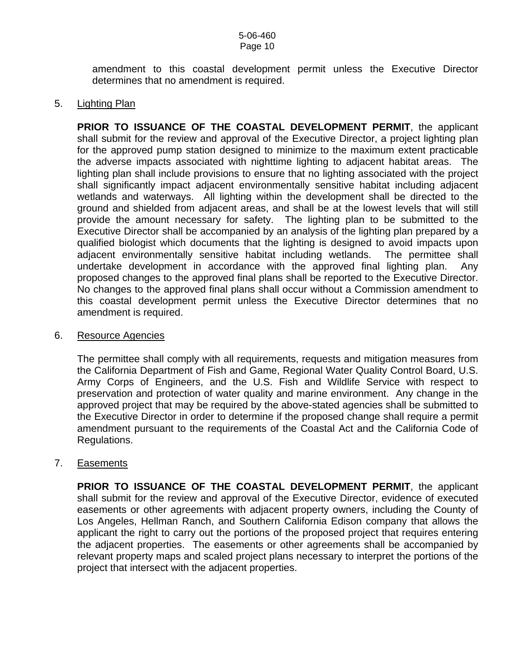amendment to this coastal development permit unless the Executive Director determines that no amendment is required.

#### 5. Lighting Plan

**PRIOR TO ISSUANCE OF THE COASTAL DEVELOPMENT PERMIT**, the applicant shall submit for the review and approval of the Executive Director, a project lighting plan for the approved pump station designed to minimize to the maximum extent practicable the adverse impacts associated with nighttime lighting to adjacent habitat areas. The lighting plan shall include provisions to ensure that no lighting associated with the project shall significantly impact adjacent environmentally sensitive habitat including adjacent wetlands and waterways. All lighting within the development shall be directed to the ground and shielded from adjacent areas, and shall be at the lowest levels that will still provide the amount necessary for safety. The lighting plan to be submitted to the Executive Director shall be accompanied by an analysis of the lighting plan prepared by a qualified biologist which documents that the lighting is designed to avoid impacts upon adjacent environmentally sensitive habitat including wetlands. The permittee shall undertake development in accordance with the approved final lighting plan. Any proposed changes to the approved final plans shall be reported to the Executive Director. No changes to the approved final plans shall occur without a Commission amendment to this coastal development permit unless the Executive Director determines that no amendment is required.

#### 6. Resource Agencies

The permittee shall comply with all requirements, requests and mitigation measures from the California Department of Fish and Game, Regional Water Quality Control Board, U.S. Army Corps of Engineers, and the U.S. Fish and Wildlife Service with respect to preservation and protection of water quality and marine environment. Any change in the approved project that may be required by the above-stated agencies shall be submitted to the Executive Director in order to determine if the proposed change shall require a permit amendment pursuant to the requirements of the Coastal Act and the California Code of Regulations.

#### 7. Easements

**PRIOR TO ISSUANCE OF THE COASTAL DEVELOPMENT PERMIT**, the applicant shall submit for the review and approval of the Executive Director, evidence of executed easements or other agreements with adjacent property owners, including the County of Los Angeles, Hellman Ranch, and Southern California Edison company that allows the applicant the right to carry out the portions of the proposed project that requires entering the adjacent properties. The easements or other agreements shall be accompanied by relevant property maps and scaled project plans necessary to interpret the portions of the project that intersect with the adjacent properties.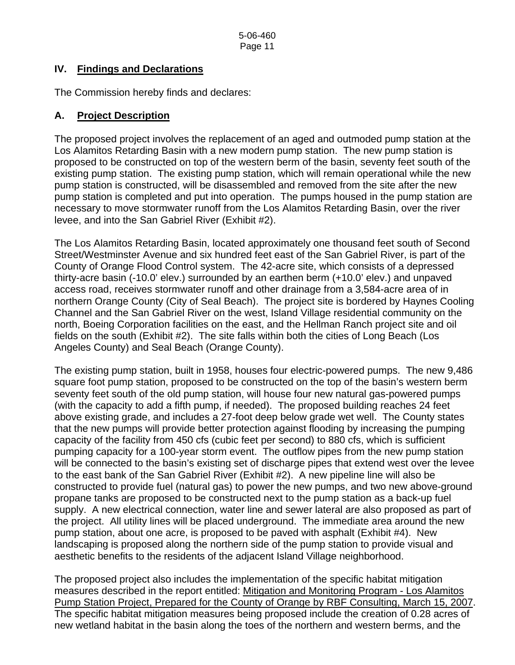## **IV. Findings and Declarations**

The Commission hereby finds and declares:

## **A. Project Description**

The proposed project involves the replacement of an aged and outmoded pump station at the Los Alamitos Retarding Basin with a new modern pump station. The new pump station is proposed to be constructed on top of the western berm of the basin, seventy feet south of the existing pump station. The existing pump station, which will remain operational while the new pump station is constructed, will be disassembled and removed from the site after the new pump station is completed and put into operation. The pumps housed in the pump station are necessary to move stormwater runoff from the Los Alamitos Retarding Basin, over the river levee, and into the San Gabriel River (Exhibit #2).

The Los Alamitos Retarding Basin, located approximately one thousand feet south of Second Street/Westminster Avenue and six hundred feet east of the San Gabriel River, is part of the County of Orange Flood Control system. The 42-acre site, which consists of a depressed thirty-acre basin (-10.0' elev.) surrounded by an earthen berm (+10.0' elev.) and unpaved access road, receives stormwater runoff and other drainage from a 3,584-acre area of in northern Orange County (City of Seal Beach). The project site is bordered by Haynes Cooling Channel and the San Gabriel River on the west, Island Village residential community on the north, Boeing Corporation facilities on the east, and the Hellman Ranch project site and oil fields on the south (Exhibit #2). The site falls within both the cities of Long Beach (Los Angeles County) and Seal Beach (Orange County).

The existing pump station, built in 1958, houses four electric-powered pumps. The new 9,486 square foot pump station, proposed to be constructed on the top of the basin's western berm seventy feet south of the old pump station, will house four new natural gas-powered pumps (with the capacity to add a fifth pump, if needed). The proposed building reaches 24 feet above existing grade, and includes a 27-foot deep below grade wet well. The County states that the new pumps will provide better protection against flooding by increasing the pumping capacity of the facility from 450 cfs (cubic feet per second) to 880 cfs, which is sufficient pumping capacity for a 100-year storm event. The outflow pipes from the new pump station will be connected to the basin's existing set of discharge pipes that extend west over the levee to the east bank of the San Gabriel River (Exhibit #2). A new pipeline line will also be constructed to provide fuel (natural gas) to power the new pumps, and two new above-ground propane tanks are proposed to be constructed next to the pump station as a back-up fuel supply. A new electrical connection, water line and sewer lateral are also proposed as part of the project. All utility lines will be placed underground. The immediate area around the new pump station, about one acre, is proposed to be paved with asphalt (Exhibit #4). New landscaping is proposed along the northern side of the pump station to provide visual and aesthetic benefits to the residents of the adjacent Island Village neighborhood.

The proposed project also includes the implementation of the specific habitat mitigation measures described in the report entitled: Mitigation and Monitoring Program - Los Alamitos Pump Station Project, Prepared for the County of Orange by RBF Consulting, March 15, 2007. The specific habitat mitigation measures being proposed include the creation of 0.28 acres of new wetland habitat in the basin along the toes of the northern and western berms, and the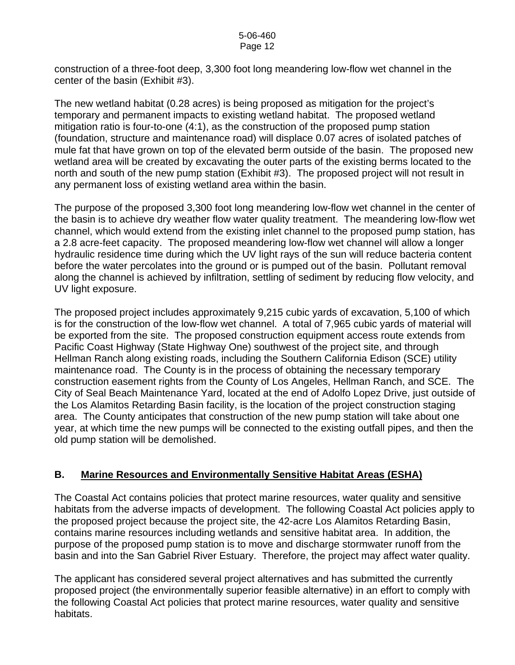construction of a three-foot deep, 3,300 foot long meandering low-flow wet channel in the center of the basin (Exhibit #3).

The new wetland habitat (0.28 acres) is being proposed as mitigation for the project's temporary and permanent impacts to existing wetland habitat. The proposed wetland mitigation ratio is four-to-one (4:1), as the construction of the proposed pump station (foundation, structure and maintenance road) will displace 0.07 acres of isolated patches of mule fat that have grown on top of the elevated berm outside of the basin. The proposed new wetland area will be created by excavating the outer parts of the existing berms located to the north and south of the new pump station (Exhibit #3). The proposed project will not result in any permanent loss of existing wetland area within the basin.

The purpose of the proposed 3,300 foot long meandering low-flow wet channel in the center of the basin is to achieve dry weather flow water quality treatment. The meandering low-flow wet channel, which would extend from the existing inlet channel to the proposed pump station, has a 2.8 acre-feet capacity. The proposed meandering low-flow wet channel will allow a longer hydraulic residence time during which the UV light rays of the sun will reduce bacteria content before the water percolates into the ground or is pumped out of the basin. Pollutant removal along the channel is achieved by infiltration, settling of sediment by reducing flow velocity, and UV light exposure.

The proposed project includes approximately 9,215 cubic yards of excavation, 5,100 of which is for the construction of the low-flow wet channel. A total of 7,965 cubic yards of material will be exported from the site. The proposed construction equipment access route extends from Pacific Coast Highway (State Highway One) southwest of the project site, and through Hellman Ranch along existing roads, including the Southern California Edison (SCE) utility maintenance road. The County is in the process of obtaining the necessary temporary construction easement rights from the County of Los Angeles, Hellman Ranch, and SCE. The City of Seal Beach Maintenance Yard, located at the end of Adolfo Lopez Drive, just outside of the Los Alamitos Retarding Basin facility, is the location of the project construction staging area. The County anticipates that construction of the new pump station will take about one year, at which time the new pumps will be connected to the existing outfall pipes, and then the old pump station will be demolished.

#### **B. Marine Resources and Environmentally Sensitive Habitat Areas (ESHA)**

The Coastal Act contains policies that protect marine resources, water quality and sensitive habitats from the adverse impacts of development. The following Coastal Act policies apply to the proposed project because the project site, the 42-acre Los Alamitos Retarding Basin, contains marine resources including wetlands and sensitive habitat area. In addition, the purpose of the proposed pump station is to move and discharge stormwater runoff from the basin and into the San Gabriel River Estuary. Therefore, the project may affect water quality.

The applicant has considered several project alternatives and has submitted the currently proposed project (the environmentally superior feasible alternative) in an effort to comply with the following Coastal Act policies that protect marine resources, water quality and sensitive habitats.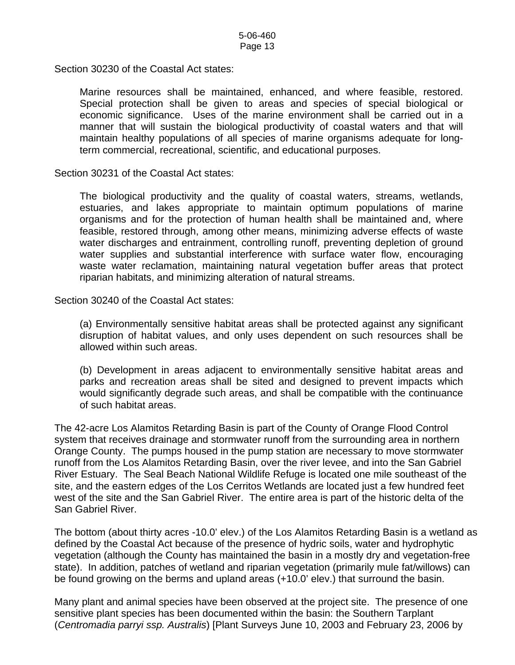Section 30230 of the Coastal Act states:

Marine resources shall be maintained, enhanced, and where feasible, restored. Special protection shall be given to areas and species of special biological or economic significance. Uses of the marine environment shall be carried out in a manner that will sustain the biological productivity of coastal waters and that will maintain healthy populations of all species of marine organisms adequate for longterm commercial, recreational, scientific, and educational purposes.

Section 30231 of the Coastal Act states:

The biological productivity and the quality of coastal waters, streams, wetlands, estuaries, and lakes appropriate to maintain optimum populations of marine organisms and for the protection of human health shall be maintained and, where feasible, restored through, among other means, minimizing adverse effects of waste water discharges and entrainment, controlling runoff, preventing depletion of ground water supplies and substantial interference with surface water flow, encouraging waste water reclamation, maintaining natural vegetation buffer areas that protect riparian habitats, and minimizing alteration of natural streams.

Section 30240 of the Coastal Act states:

(a) Environmentally sensitive habitat areas shall be protected against any significant disruption of habitat values, and only uses dependent on such resources shall be allowed within such areas.

(b) Development in areas adjacent to environmentally sensitive habitat areas and parks and recreation areas shall be sited and designed to prevent impacts which would significantly degrade such areas, and shall be compatible with the continuance of such habitat areas.

The 42-acre Los Alamitos Retarding Basin is part of the County of Orange Flood Control system that receives drainage and stormwater runoff from the surrounding area in northern Orange County. The pumps housed in the pump station are necessary to move stormwater runoff from the Los Alamitos Retarding Basin, over the river levee, and into the San Gabriel River Estuary. The Seal Beach National Wildlife Refuge is located one mile southeast of the site, and the eastern edges of the Los Cerritos Wetlands are located just a few hundred feet west of the site and the San Gabriel River. The entire area is part of the historic delta of the San Gabriel River.

The bottom (about thirty acres -10.0' elev.) of the Los Alamitos Retarding Basin is a wetland as defined by the Coastal Act because of the presence of hydric soils, water and hydrophytic vegetation (although the County has maintained the basin in a mostly dry and vegetation-free state). In addition, patches of wetland and riparian vegetation (primarily mule fat/willows) can be found growing on the berms and upland areas (+10.0' elev.) that surround the basin.

Many plant and animal species have been observed at the project site. The presence of one sensitive plant species has been documented within the basin: the Southern Tarplant (*Centromadia parryi ssp. Australis*) [Plant Surveys June 10, 2003 and February 23, 2006 by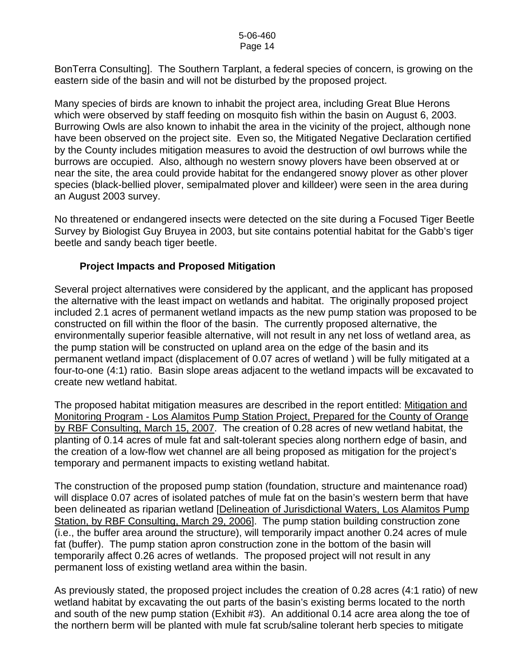#### 5-06-460 Page 14

BonTerra Consulting]. The Southern Tarplant, a federal species of concern, is growing on the eastern side of the basin and will not be disturbed by the proposed project.

Many species of birds are known to inhabit the project area, including Great Blue Herons which were observed by staff feeding on mosquito fish within the basin on August 6, 2003. Burrowing Owls are also known to inhabit the area in the vicinity of the project, although none have been observed on the project site. Even so, the Mitigated Negative Declaration certified by the County includes mitigation measures to avoid the destruction of owl burrows while the burrows are occupied. Also, although no western snowy plovers have been observed at or near the site, the area could provide habitat for the endangered snowy plover as other plover species (black-bellied plover, semipalmated plover and killdeer) were seen in the area during an August 2003 survey.

No threatened or endangered insects were detected on the site during a Focused Tiger Beetle Survey by Biologist Guy Bruyea in 2003, but site contains potential habitat for the Gabb's tiger beetle and sandy beach tiger beetle.

## **Project Impacts and Proposed Mitigation**

Several project alternatives were considered by the applicant, and the applicant has proposed the alternative with the least impact on wetlands and habitat. The originally proposed project included 2.1 acres of permanent wetland impacts as the new pump station was proposed to be constructed on fill within the floor of the basin. The currently proposed alternative, the environmentally superior feasible alternative, will not result in any net loss of wetland area, as the pump station will be constructed on upland area on the edge of the basin and its permanent wetland impact (displacement of 0.07 acres of wetland ) will be fully mitigated at a four-to-one (4:1) ratio. Basin slope areas adjacent to the wetland impacts will be excavated to create new wetland habitat.

The proposed habitat mitigation measures are described in the report entitled: Mitigation and Monitoring Program - Los Alamitos Pump Station Project, Prepared for the County of Orange by RBF Consulting, March 15, 2007. The creation of 0.28 acres of new wetland habitat, the planting of 0.14 acres of mule fat and salt-tolerant species along northern edge of basin, and the creation of a low-flow wet channel are all being proposed as mitigation for the project's temporary and permanent impacts to existing wetland habitat.

The construction of the proposed pump station (foundation, structure and maintenance road) will displace 0.07 acres of isolated patches of mule fat on the basin's western berm that have been delineated as riparian wetland [Delineation of Jurisdictional Waters, Los Alamitos Pump Station, by RBF Consulting, March 29, 2006]. The pump station building construction zone (i.e., the buffer area around the structure), will temporarily impact another 0.24 acres of mule fat (buffer). The pump station apron construction zone in the bottom of the basin will temporarily affect 0.26 acres of wetlands. The proposed project will not result in any permanent loss of existing wetland area within the basin.

As previously stated, the proposed project includes the creation of 0.28 acres (4:1 ratio) of new wetland habitat by excavating the out parts of the basin's existing berms located to the north and south of the new pump station (Exhibit #3). An additional 0.14 acre area along the toe of the northern berm will be planted with mule fat scrub/saline tolerant herb species to mitigate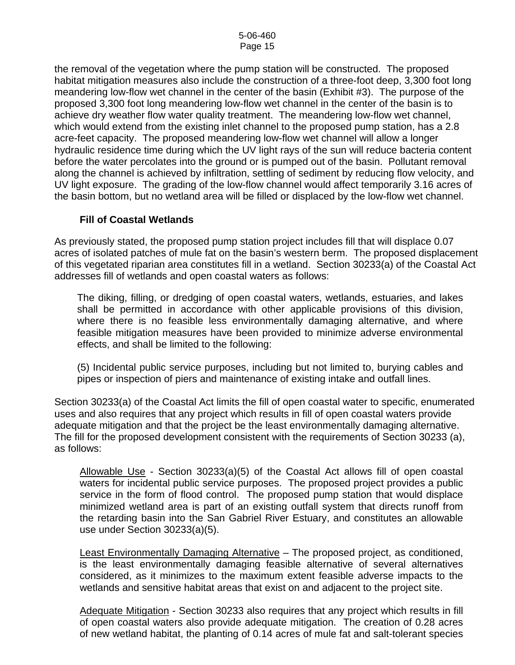the removal of the vegetation where the pump station will be constructed. The proposed habitat mitigation measures also include the construction of a three-foot deep, 3,300 foot long meandering low-flow wet channel in the center of the basin (Exhibit #3). The purpose of the proposed 3,300 foot long meandering low-flow wet channel in the center of the basin is to achieve dry weather flow water quality treatment. The meandering low-flow wet channel, which would extend from the existing inlet channel to the proposed pump station, has a 2.8 acre-feet capacity. The proposed meandering low-flow wet channel will allow a longer hydraulic residence time during which the UV light rays of the sun will reduce bacteria content before the water percolates into the ground or is pumped out of the basin. Pollutant removal along the channel is achieved by infiltration, settling of sediment by reducing flow velocity, and UV light exposure. The grading of the low-flow channel would affect temporarily 3.16 acres of the basin bottom, but no wetland area will be filled or displaced by the low-flow wet channel.

#### **Fill of Coastal Wetlands**

As previously stated, the proposed pump station project includes fill that will displace 0.07 acres of isolated patches of mule fat on the basin's western berm. The proposed displacement of this vegetated riparian area constitutes fill in a wetland. Section 30233(a) of the Coastal Act addresses fill of wetlands and open coastal waters as follows:

The diking, filling, or dredging of open coastal waters, wetlands, estuaries, and lakes shall be permitted in accordance with other applicable provisions of this division, where there is no feasible less environmentally damaging alternative, and where feasible mitigation measures have been provided to minimize adverse environmental effects, and shall be limited to the following:

(5) Incidental public service purposes, including but not limited to, burying cables and pipes or inspection of piers and maintenance of existing intake and outfall lines.

Section 30233(a) of the Coastal Act limits the fill of open coastal water to specific, enumerated uses and also requires that any project which results in fill of open coastal waters provide adequate mitigation and that the project be the least environmentally damaging alternative. The fill for the proposed development consistent with the requirements of Section 30233 (a), as follows:

Allowable Use - Section 30233(a)(5) of the Coastal Act allows fill of open coastal waters for incidental public service purposes. The proposed project provides a public service in the form of flood control. The proposed pump station that would displace minimized wetland area is part of an existing outfall system that directs runoff from the retarding basin into the San Gabriel River Estuary, and constitutes an allowable use under Section 30233(a)(5).

Least Environmentally Damaging Alternative – The proposed project, as conditioned, is the least environmentally damaging feasible alternative of several alternatives considered, as it minimizes to the maximum extent feasible adverse impacts to the wetlands and sensitive habitat areas that exist on and adjacent to the project site.

Adequate Mitigation - Section 30233 also requires that any project which results in fill of open coastal waters also provide adequate mitigation. The creation of 0.28 acres of new wetland habitat, the planting of 0.14 acres of mule fat and salt-tolerant species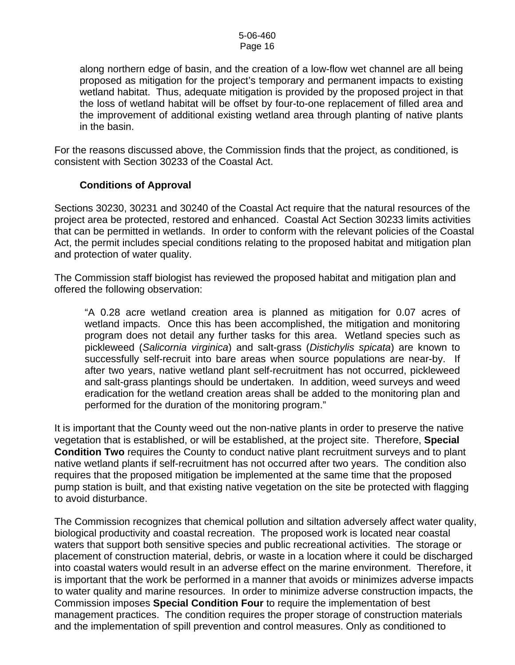#### 5-06-460 Page 16

along northern edge of basin, and the creation of a low-flow wet channel are all being proposed as mitigation for the project's temporary and permanent impacts to existing wetland habitat. Thus, adequate mitigation is provided by the proposed project in that the loss of wetland habitat will be offset by four-to-one replacement of filled area and the improvement of additional existing wetland area through planting of native plants in the basin.

For the reasons discussed above, the Commission finds that the project, as conditioned, is consistent with Section 30233 of the Coastal Act.

#### **Conditions of Approval**

Sections 30230, 30231 and 30240 of the Coastal Act require that the natural resources of the project area be protected, restored and enhanced. Coastal Act Section 30233 limits activities that can be permitted in wetlands. In order to conform with the relevant policies of the Coastal Act, the permit includes special conditions relating to the proposed habitat and mitigation plan and protection of water quality.

The Commission staff biologist has reviewed the proposed habitat and mitigation plan and offered the following observation:

"A 0.28 acre wetland creation area is planned as mitigation for 0.07 acres of wetland impacts. Once this has been accomplished, the mitigation and monitoring program does not detail any further tasks for this area. Wetland species such as pickleweed (*Salicornia virginica*) and salt-grass (*Distichylis spicata*) are known to successfully self-recruit into bare areas when source populations are near-by. If after two years, native wetland plant self-recruitment has not occurred, pickleweed and salt-grass plantings should be undertaken. In addition, weed surveys and weed eradication for the wetland creation areas shall be added to the monitoring plan and performed for the duration of the monitoring program."

It is important that the County weed out the non-native plants in order to preserve the native vegetation that is established, or will be established, at the project site. Therefore, **Special Condition Two** requires the County to conduct native plant recruitment surveys and to plant native wetland plants if self-recruitment has not occurred after two years. The condition also requires that the proposed mitigation be implemented at the same time that the proposed pump station is built, and that existing native vegetation on the site be protected with flagging to avoid disturbance.

The Commission recognizes that chemical pollution and siltation adversely affect water quality, biological productivity and coastal recreation. The proposed work is located near coastal waters that support both sensitive species and public recreational activities. The storage or placement of construction material, debris, or waste in a location where it could be discharged into coastal waters would result in an adverse effect on the marine environment. Therefore, it is important that the work be performed in a manner that avoids or minimizes adverse impacts to water quality and marine resources. In order to minimize adverse construction impacts, the Commission imposes **Special Condition Four** to require the implementation of best management practices. The condition requires the proper storage of construction materials and the implementation of spill prevention and control measures. Only as conditioned to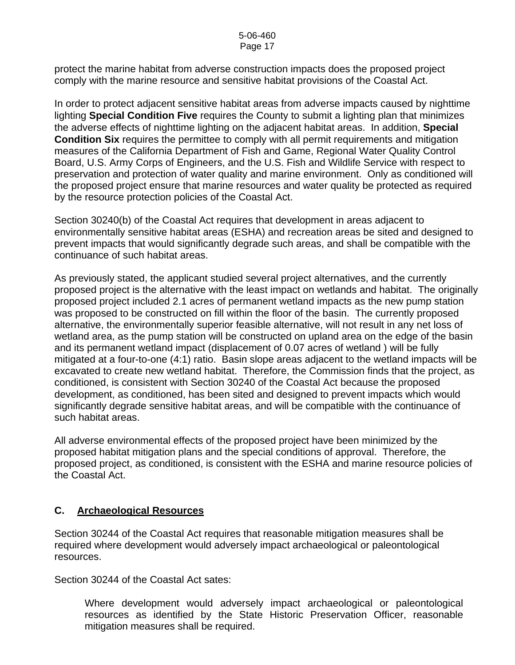#### 5-06-460 Page 17

protect the marine habitat from adverse construction impacts does the proposed project comply with the marine resource and sensitive habitat provisions of the Coastal Act.

In order to protect adjacent sensitive habitat areas from adverse impacts caused by nighttime lighting **Special Condition Five** requires the County to submit a lighting plan that minimizes the adverse effects of nighttime lighting on the adjacent habitat areas. In addition, **Special Condition Six** requires the permittee to comply with all permit requirements and mitigation measures of the California Department of Fish and Game, Regional Water Quality Control Board, U.S. Army Corps of Engineers, and the U.S. Fish and Wildlife Service with respect to preservation and protection of water quality and marine environment. Only as conditioned will the proposed project ensure that marine resources and water quality be protected as required by the resource protection policies of the Coastal Act.

Section 30240(b) of the Coastal Act requires that development in areas adjacent to environmentally sensitive habitat areas (ESHA) and recreation areas be sited and designed to prevent impacts that would significantly degrade such areas, and shall be compatible with the continuance of such habitat areas.

As previously stated, the applicant studied several project alternatives, and the currently proposed project is the alternative with the least impact on wetlands and habitat. The originally proposed project included 2.1 acres of permanent wetland impacts as the new pump station was proposed to be constructed on fill within the floor of the basin. The currently proposed alternative, the environmentally superior feasible alternative, will not result in any net loss of wetland area, as the pump station will be constructed on upland area on the edge of the basin and its permanent wetland impact (displacement of 0.07 acres of wetland ) will be fully mitigated at a four-to-one (4:1) ratio. Basin slope areas adjacent to the wetland impacts will be excavated to create new wetland habitat. Therefore, the Commission finds that the project, as conditioned, is consistent with Section 30240 of the Coastal Act because the proposed development, as conditioned, has been sited and designed to prevent impacts which would significantly degrade sensitive habitat areas, and will be compatible with the continuance of such habitat areas.

All adverse environmental effects of the proposed project have been minimized by the proposed habitat mitigation plans and the special conditions of approval. Therefore, the proposed project, as conditioned, is consistent with the ESHA and marine resource policies of the Coastal Act.

#### **C. Archaeological Resources**

Section 30244 of the Coastal Act requires that reasonable mitigation measures shall be required where development would adversely impact archaeological or paleontological resources.

Section 30244 of the Coastal Act sates:

Where development would adversely impact archaeological or paleontological resources as identified by the State Historic Preservation Officer, reasonable mitigation measures shall be required.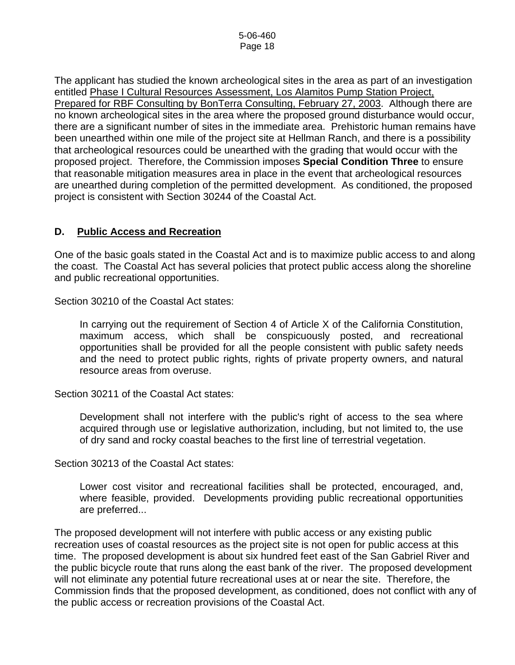The applicant has studied the known archeological sites in the area as part of an investigation entitled Phase I Cultural Resources Assessment, Los Alamitos Pump Station Project, Prepared for RBF Consulting by BonTerra Consulting, February 27, 2003. Although there are no known archeological sites in the area where the proposed ground disturbance would occur, there are a significant number of sites in the immediate area. Prehistoric human remains have been unearthed within one mile of the project site at Hellman Ranch, and there is a possibility that archeological resources could be unearthed with the grading that would occur with the proposed project. Therefore, the Commission imposes **Special Condition Three** to ensure that reasonable mitigation measures area in place in the event that archeological resources are unearthed during completion of the permitted development. As conditioned, the proposed project is consistent with Section 30244 of the Coastal Act.

## **D. Public Access and Recreation**

One of the basic goals stated in the Coastal Act and is to maximize public access to and along the coast. The Coastal Act has several policies that protect public access along the shoreline and public recreational opportunities.

Section 30210 of the Coastal Act states:

In carrying out the requirement of Section 4 of Article X of the California Constitution, maximum access, which shall be conspicuously posted, and recreational opportunities shall be provided for all the people consistent with public safety needs and the need to protect public rights, rights of private property owners, and natural resource areas from overuse.

Section 30211 of the Coastal Act states:

Development shall not interfere with the public's right of access to the sea where acquired through use or legislative authorization, including, but not limited to, the use of dry sand and rocky coastal beaches to the first line of terrestrial vegetation.

Section 30213 of the Coastal Act states:

Lower cost visitor and recreational facilities shall be protected, encouraged, and, where feasible, provided. Developments providing public recreational opportunities are preferred...

The proposed development will not interfere with public access or any existing public recreation uses of coastal resources as the project site is not open for public access at this time. The proposed development is about six hundred feet east of the San Gabriel River and the public bicycle route that runs along the east bank of the river. The proposed development will not eliminate any potential future recreational uses at or near the site. Therefore, the Commission finds that the proposed development, as conditioned, does not conflict with any of the public access or recreation provisions of the Coastal Act.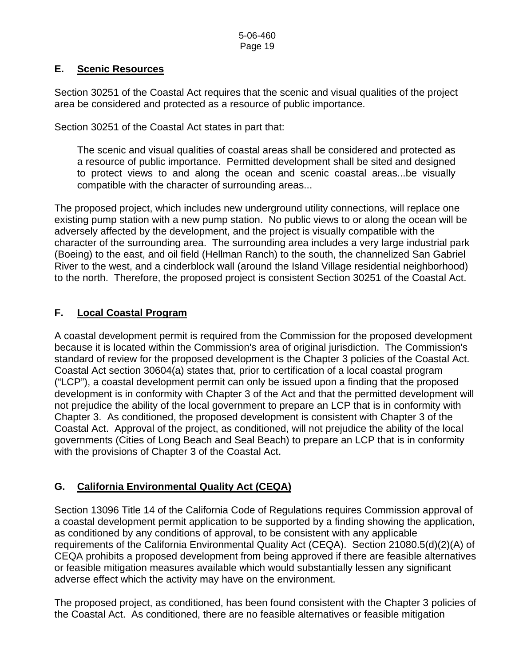## **E. Scenic Resources**

Section 30251 of the Coastal Act requires that the scenic and visual qualities of the project area be considered and protected as a resource of public importance.

Section 30251 of the Coastal Act states in part that:

The scenic and visual qualities of coastal areas shall be considered and protected as a resource of public importance. Permitted development shall be sited and designed to protect views to and along the ocean and scenic coastal areas...be visually compatible with the character of surrounding areas...

The proposed project, which includes new underground utility connections, will replace one existing pump station with a new pump station. No public views to or along the ocean will be adversely affected by the development, and the project is visually compatible with the character of the surrounding area. The surrounding area includes a very large industrial park (Boeing) to the east, and oil field (Hellman Ranch) to the south, the channelized San Gabriel River to the west, and a cinderblock wall (around the Island Village residential neighborhood) to the north. Therefore, the proposed project is consistent Section 30251 of the Coastal Act.

## **F. Local Coastal Program**

A coastal development permit is required from the Commission for the proposed development because it is located within the Commission's area of original jurisdiction. The Commission's standard of review for the proposed development is the Chapter 3 policies of the Coastal Act. Coastal Act section 30604(a) states that, prior to certification of a local coastal program ("LCP"), a coastal development permit can only be issued upon a finding that the proposed development is in conformity with Chapter 3 of the Act and that the permitted development will not prejudice the ability of the local government to prepare an LCP that is in conformity with Chapter 3. As conditioned, the proposed development is consistent with Chapter 3 of the Coastal Act. Approval of the project, as conditioned, will not prejudice the ability of the local governments (Cities of Long Beach and Seal Beach) to prepare an LCP that is in conformity with the provisions of Chapter 3 of the Coastal Act.

## **G. California Environmental Quality Act (CEQA)**

Section 13096 Title 14 of the California Code of Regulations requires Commission approval of a coastal development permit application to be supported by a finding showing the application, as conditioned by any conditions of approval, to be consistent with any applicable requirements of the California Environmental Quality Act (CEQA). Section 21080.5(d)(2)(A) of CEQA prohibits a proposed development from being approved if there are feasible alternatives or feasible mitigation measures available which would substantially lessen any significant adverse effect which the activity may have on the environment.

The proposed project, as conditioned, has been found consistent with the Chapter 3 policies of the Coastal Act. As conditioned, there are no feasible alternatives or feasible mitigation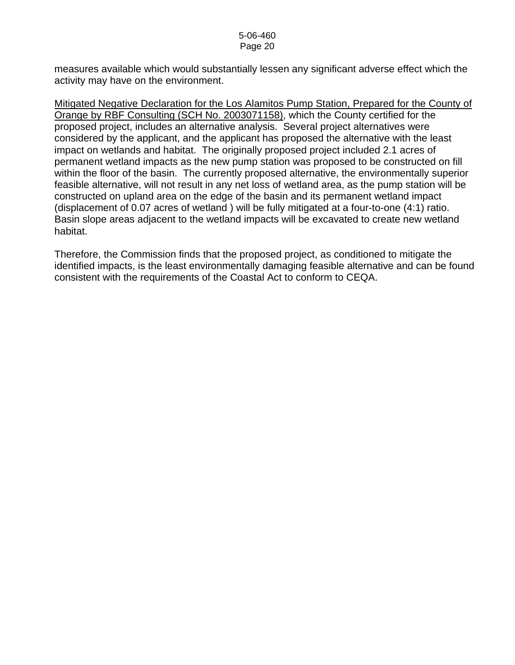measures available which would substantially lessen any significant adverse effect which the activity may have on the environment.

Mitigated Negative Declaration for the Los Alamitos Pump Station, Prepared for the County of Orange by RBF Consulting (SCH No. 2003071158), which the County certified for the proposed project, includes an alternative analysis. Several project alternatives were considered by the applicant, and the applicant has proposed the alternative with the least impact on wetlands and habitat. The originally proposed project included 2.1 acres of permanent wetland impacts as the new pump station was proposed to be constructed on fill within the floor of the basin. The currently proposed alternative, the environmentally superior feasible alternative, will not result in any net loss of wetland area, as the pump station will be constructed on upland area on the edge of the basin and its permanent wetland impact (displacement of 0.07 acres of wetland ) will be fully mitigated at a four-to-one (4:1) ratio. Basin slope areas adjacent to the wetland impacts will be excavated to create new wetland habitat.

Therefore, the Commission finds that the proposed project, as conditioned to mitigate the identified impacts, is the least environmentally damaging feasible alternative and can be found consistent with the requirements of the Coastal Act to conform to CEQA.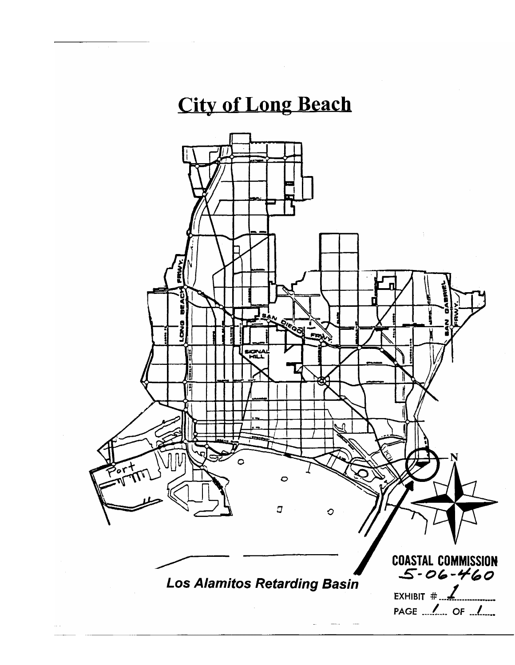## **City of Long Beach**

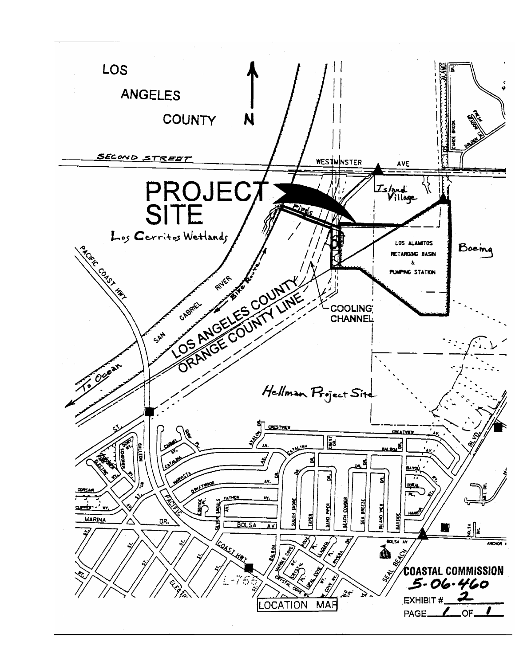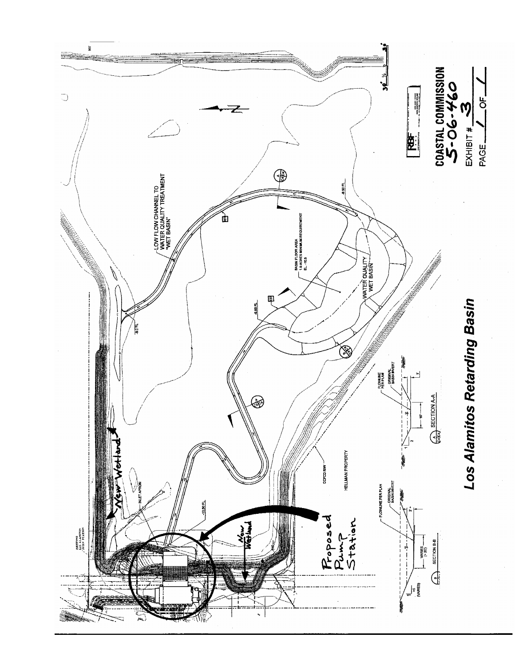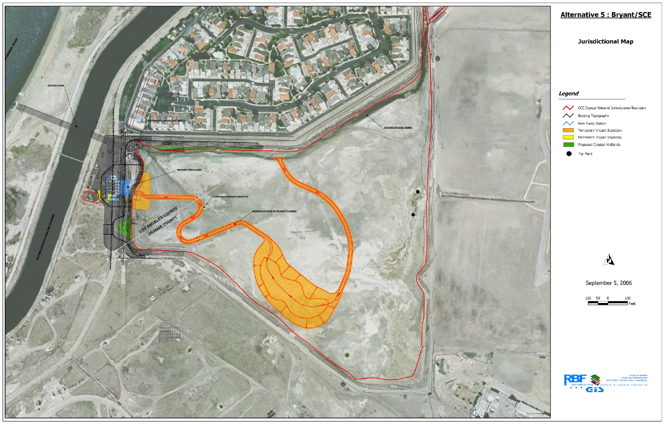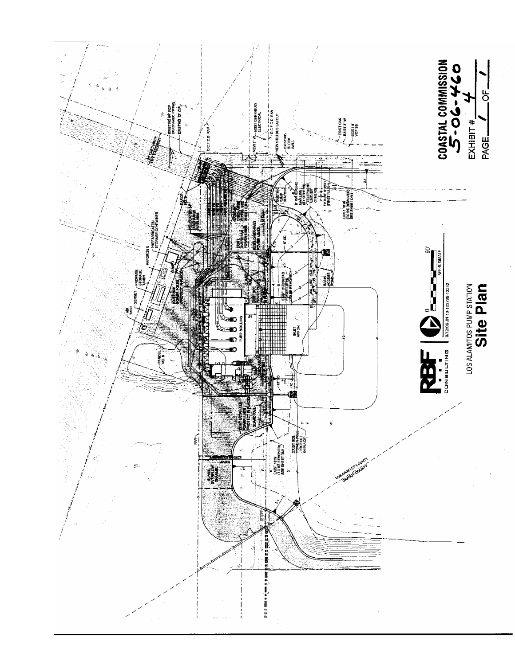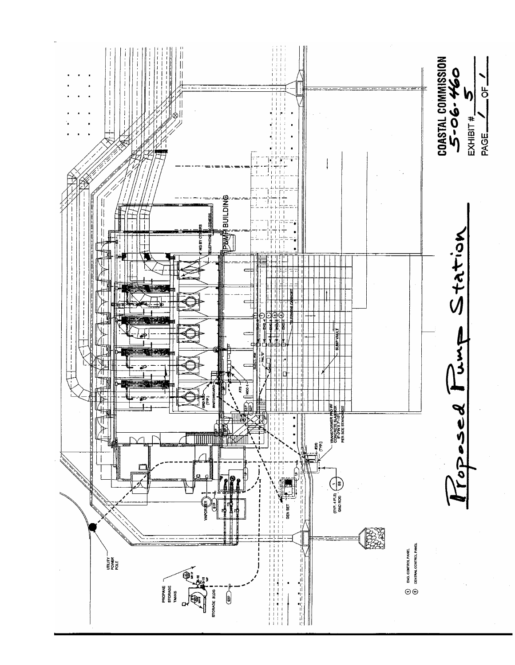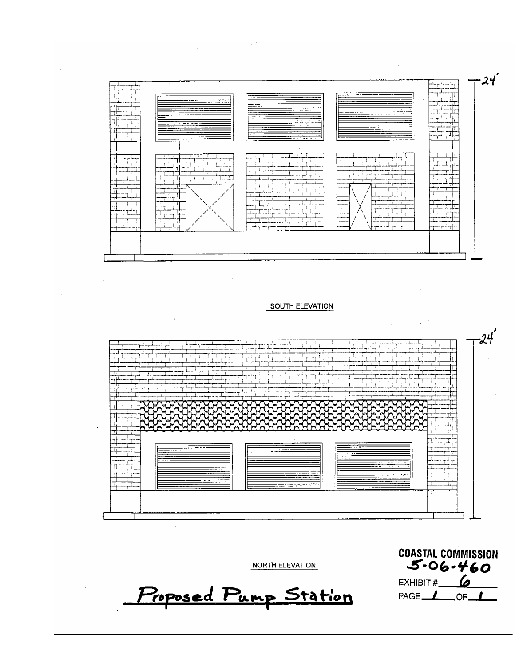

#### SOUTH ELEVATION



NORTH ELEVATION

Proposed Pump Station

**COASTAL COMMISSION**  $5 - 06 - 460$ EXHIBIT  $\#$  6 PAGE<sub>40F</sub>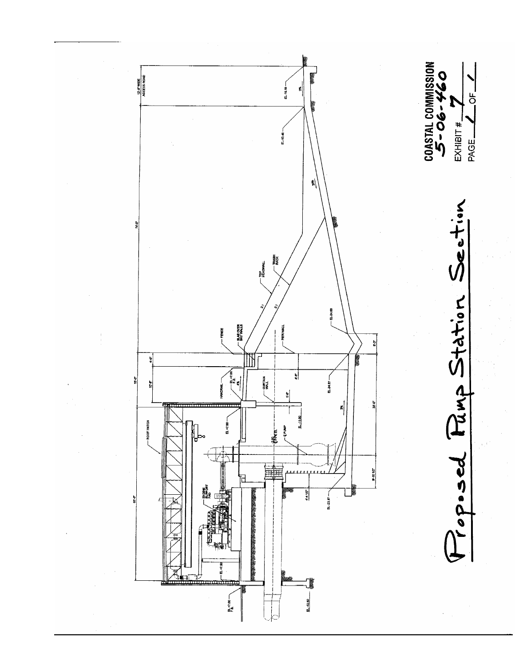